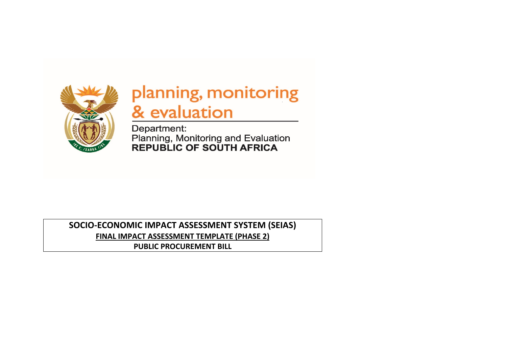

# planning, monitoring & evaluation

Department: Planning, Monitoring and Evaluation<br>REPUBLIC OF SOUTH AFRICA

**SOCIO-ECONOMIC IMPACT ASSESSMENT SYSTEM (SEIAS) FINAL IMPACT ASSESSMENT TEMPLATE (PHASE 2) PUBLIC PROCUREMENT BILL**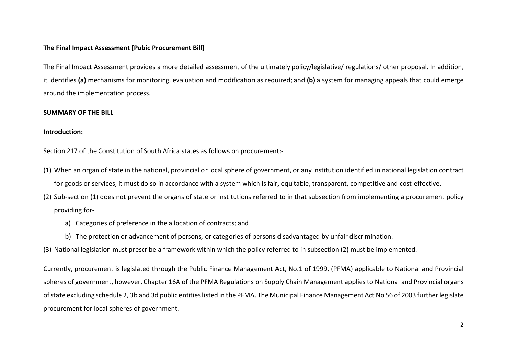#### **The Final Impact Assessment [Pubic Procurement Bill]**

The Final Impact Assessment provides a more detailed assessment of the ultimately policy/legislative/ regulations/ other proposal. In addition, it identifies **(a)** mechanisms for monitoring, evaluation and modification as required; and **(b)** a system for managing appeals that could emerge around the implementation process.

#### **SUMMARY OF THE BILL**

#### **Introduction:**

Section 217 of the Constitution of South Africa states as follows on procurement:-

- (1) When an organ of state in the national, provincial or local sphere of government, or any institution identified in national legislation contract for goods or services, it must do so in accordance with a system which is fair, equitable, transparent, competitive and cost-effective.
- (2) Sub-section (1) does not prevent the organs of state or institutions referred to in that subsection from implementing a procurement policy providing for
	- a) Categories of preference in the allocation of contracts; and
	- b) The protection or advancement of persons, or categories of persons disadvantaged by unfair discrimination.
- (3) National legislation must prescribe a framework within which the policy referred to in subsection (2) must be implemented.

Currently, procurement is legislated through the Public Finance Management Act, No.1 of 1999, (PFMA) applicable to National and Provincial spheres of government, however, Chapter 16A of the PFMA Regulations on Supply Chain Management applies to National and Provincial organs of state excluding schedule 2, 3b and 3d public entities listed in the PFMA. The Municipal Finance Management Act No 56 of 2003 further legislate procurement for local spheres of government.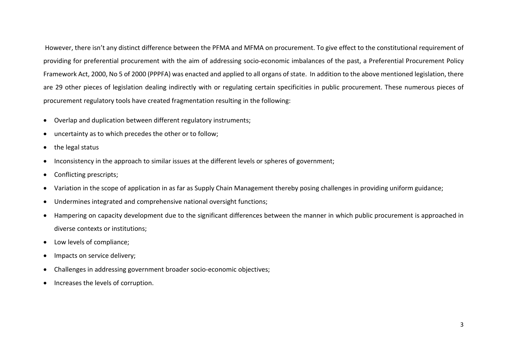However, there isn't any distinct difference between the PFMA and MFMA on procurement. To give effect to the constitutional requirement of providing for preferential procurement with the aim of addressing socio-economic imbalances of the past, a Preferential Procurement Policy Framework Act, 2000, No 5 of 2000 (PPPFA) was enacted and applied to all organs of state. In addition to the above mentioned legislation, there are 29 other pieces of legislation dealing indirectly with or regulating certain specificities in public procurement. These numerous pieces of procurement regulatory tools have created fragmentation resulting in the following:

- Overlap and duplication between different regulatory instruments;
- uncertainty as to which precedes the other or to follow;
- the legal status
- Inconsistency in the approach to similar issues at the different levels or spheres of government;
- Conflicting prescripts;
- Variation in the scope of application in as far as Supply Chain Management thereby posing challenges in providing uniform guidance;
- Undermines integrated and comprehensive national oversight functions;
- Hampering on capacity development due to the significant differences between the manner in which public procurement is approached in diverse contexts or institutions;
- Low levels of compliance;
- Impacts on service delivery;
- Challenges in addressing government broader socio-economic objectives;
- Increases the levels of corruption.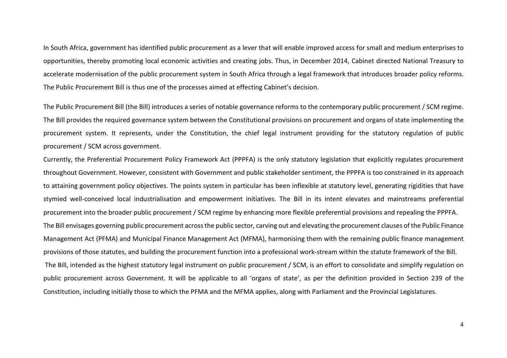In South Africa, government has identified public procurement as a lever that will enable improved access for small and medium enterprises to opportunities, thereby promoting local economic activities and creating jobs. Thus, in December 2014, Cabinet directed National Treasury to accelerate modernisation of the public procurement system in South Africa through a legal framework that introduces broader policy reforms. The Public Procurement Bill is thus one of the processes aimed at effecting Cabinet's decision.

The Public Procurement Bill (the Bill) introduces a series of notable governance reforms to the contemporary public procurement / SCM regime. The Bill provides the required governance system between the Constitutional provisions on procurement and organs of state implementing the procurement system. It represents, under the Constitution, the chief legal instrument providing for the statutory regulation of public procurement / SCM across government.

Currently, the Preferential Procurement Policy Framework Act (PPPFA) is the only statutory legislation that explicitly regulates procurement throughout Government. However, consistent with Government and public stakeholder sentiment, the PPPFA is too constrained in its approach to attaining government policy objectives. The points system in particular has been inflexible at statutory level, generating rigidities that have stymied well-conceived local industrialisation and empowerment initiatives. The Bill in its intent elevates and mainstreams preferential procurement into the broader public procurement / SCM regime by enhancing more flexible preferential provisions and repealing the PPPFA. The Bill envisages governing public procurement across the public sector, carving out and elevating the procurement clauses of the Public Finance Management Act (PFMA) and Municipal Finance Management Act (MFMA), harmonising them with the remaining public finance management provisions of those statutes, and building the procurement function into a professional work-stream within the statute framework of the Bill. The Bill, intended as the highest statutory legal instrument on public procurement / SCM, is an effort to consolidate and simplify regulation on public procurement across Government. It will be applicable to all 'organs of state', as per the definition provided in Section 239 of the Constitution, including initially those to which the PFMA and the MFMA applies, along with Parliament and the Provincial Legislatures.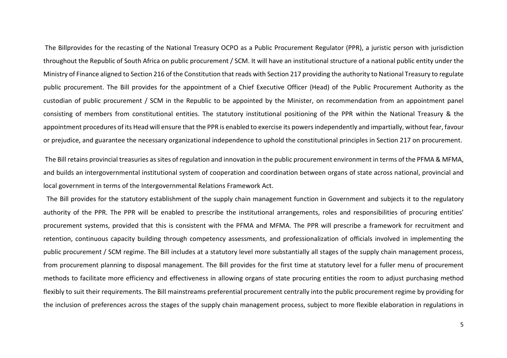The Billprovides for the recasting of the National Treasury OCPO as a Public Procurement Regulator (PPR), a juristic person with jurisdiction throughout the Republic of South Africa on public procurement / SCM. It will have an institutional structure of a national public entity under the Ministry of Finance aligned to Section 216 of the Constitution that reads with Section 217 providing the authority to National Treasury to regulate public procurement. The Bill provides for the appointment of a Chief Executive Officer (Head) of the Public Procurement Authority as the custodian of public procurement / SCM in the Republic to be appointed by the Minister, on recommendation from an appointment panel consisting of members from constitutional entities. The statutory institutional positioning of the PPR within the National Treasury & the appointment procedures of its Head will ensure that the PPR is enabled to exercise its powers independently and impartially, without fear, favour or prejudice, and guarantee the necessary organizational independence to uphold the constitutional principles in Section 217 on procurement.

The Bill retains provincial treasuries as sites of regulation and innovation in the public procurement environment in terms of the PFMA & MFMA, and builds an intergovernmental institutional system of cooperation and coordination between organs of state across national, provincial and local government in terms of the Intergovernmental Relations Framework Act.

The Bill provides for the statutory establishment of the supply chain management function in Government and subjects it to the regulatory authority of the PPR. The PPR will be enabled to prescribe the institutional arrangements, roles and responsibilities of procuring entities' procurement systems, provided that this is consistent with the PFMA and MFMA. The PPR will prescribe a framework for recruitment and retention, continuous capacity building through competency assessments, and professionalization of officials involved in implementing the public procurement / SCM regime. The Bill includes at a statutory level more substantially all stages of the supply chain management process, from procurement planning to disposal management. The Bill provides for the first time at statutory level for a fuller menu of procurement methods to facilitate more efficiency and effectiveness in allowing organs of state procuring entities the room to adjust purchasing method flexibly to suit their requirements. The Bill mainstreams preferential procurement centrally into the public procurement regime by providing for the inclusion of preferences across the stages of the supply chain management process, subject to more flexible elaboration in regulations in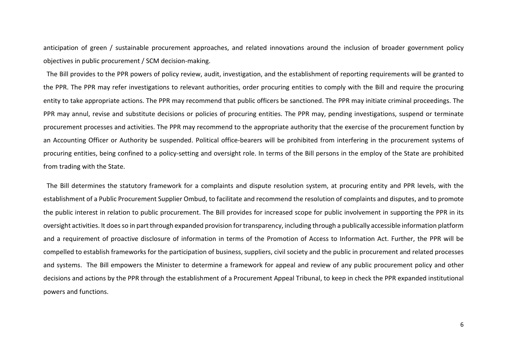anticipation of green / sustainable procurement approaches, and related innovations around the inclusion of broader government policy objectives in public procurement / SCM decision-making.

 The Bill provides to the PPR powers of policy review, audit, investigation, and the establishment of reporting requirements will be granted to the PPR. The PPR may refer investigations to relevant authorities, order procuring entities to comply with the Bill and require the procuring entity to take appropriate actions. The PPR may recommend that public officers be sanctioned. The PPR may initiate criminal proceedings. The PPR may annul, revise and substitute decisions or policies of procuring entities. The PPR may, pending investigations, suspend or terminate procurement processes and activities. The PPR may recommend to the appropriate authority that the exercise of the procurement function by an Accounting Officer or Authority be suspended. Political office-bearers will be prohibited from interfering in the procurement systems of procuring entities, being confined to a policy-setting and oversight role. In terms of the Bill persons in the employ of the State are prohibited from trading with the State.

 The Bill determines the statutory framework for a complaints and dispute resolution system, at procuring entity and PPR levels, with the establishment of a Public Procurement Supplier Ombud, to facilitate and recommend the resolution of complaints and disputes, and to promote the public interest in relation to public procurement. The Bill provides for increased scope for public involvement in supporting the PPR in its oversight activities. It does so in part through expanded provision for transparency, including through a publically accessible information platform and a requirement of proactive disclosure of information in terms of the Promotion of Access to Information Act. Further, the PPR will be compelled to establish frameworks for the participation of business, suppliers, civil society and the public in procurement and related processes and systems. The Bill empowers the Minister to determine a framework for appeal and review of any public procurement policy and other decisions and actions by the PPR through the establishment of a Procurement Appeal Tribunal, to keep in check the PPR expanded institutional powers and functions.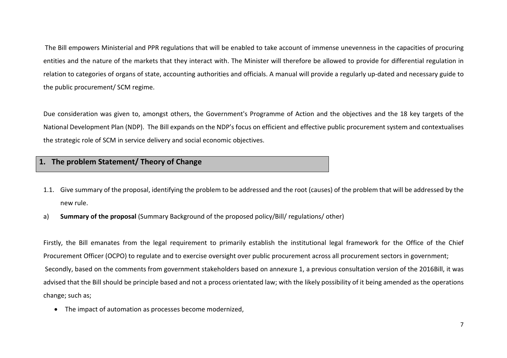The Bill empowers Ministerial and PPR regulations that will be enabled to take account of immense unevenness in the capacities of procuring entities and the nature of the markets that they interact with. The Minister will therefore be allowed to provide for differential regulation in relation to categories of organs of state, accounting authorities and officials. A manual will provide a regularly up-dated and necessary guide to the public procurement/ SCM regime.

Due consideration was given to, amongst others, the Government's Programme of Action and the objectives and the 18 key targets of the National Development Plan (NDP). The Bill expands on the NDP's focus on efficient and effective public procurement system and contextualises the strategic role of SCM in service delivery and social economic objectives.

### **1. The problem Statement/ Theory of Change**

- 1.1. Give summary of the proposal, identifying the problem to be addressed and the root (causes) of the problem that will be addressed by the new rule.
- a) **Summary of the proposal** (Summary Background of the proposed policy/Bill/ regulations/ other)

Firstly, the Bill emanates from the legal requirement to primarily establish the institutional legal framework for the Office of the Chief Procurement Officer (OCPO) to regulate and to exercise oversight over public procurement across all procurement sectors in government; Secondly, based on the comments from government stakeholders based on annexure 1, a previous consultation version of the 2016Bill, it was advised that the Bill should be principle based and not a process orientated law; with the likely possibility of it being amended as the operations change; such as;

• The impact of automation as processes become modernized,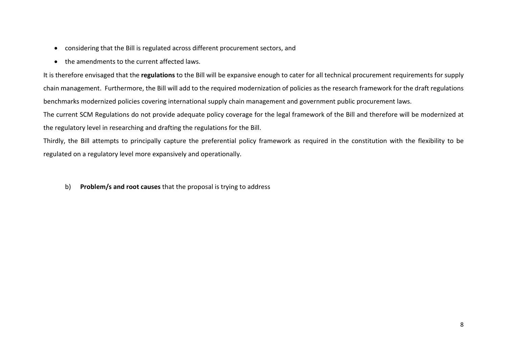- considering that the Bill is regulated across different procurement sectors, and
- the amendments to the current affected laws.

It is therefore envisaged that the **regulations** to the Bill will be expansive enough to cater for all technical procurement requirements for supply chain management. Furthermore, the Bill will add to the required modernization of policies as the research framework for the draft regulations benchmarks modernized policies covering international supply chain management and government public procurement laws.

The current SCM Regulations do not provide adequate policy coverage for the legal framework of the Bill and therefore will be modernized at the regulatory level in researching and drafting the regulations for the Bill.

Thirdly, the Bill attempts to principally capture the preferential policy framework as required in the constitution with the flexibility to be regulated on a regulatory level more expansively and operationally.

b) **Problem/s and root causes** that the proposal is trying to address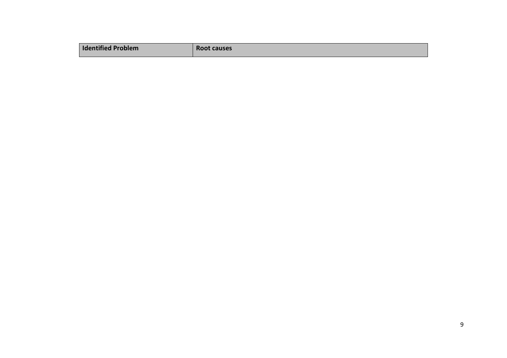| <b>Identified Problem</b> | Root causes |
|---------------------------|-------------|
|                           |             |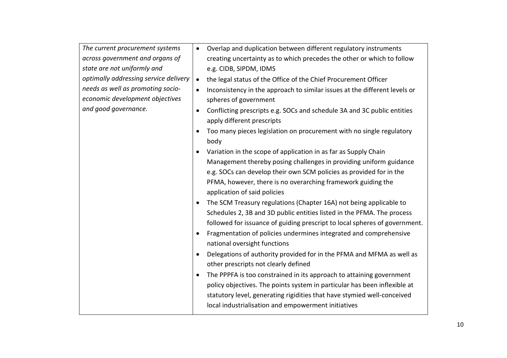| The current procurement systems       | Overlap and duplication between different regulatory instruments<br>$\bullet$                                      |  |  |  |  |
|---------------------------------------|--------------------------------------------------------------------------------------------------------------------|--|--|--|--|
| across government and organs of       | creating uncertainty as to which precedes the other or which to follow                                             |  |  |  |  |
| state are not uniformly and           | e.g. CIDB, SIPDM, IDMS                                                                                             |  |  |  |  |
| optimally addressing service delivery | the legal status of the Office of the Chief Procurement Officer<br>$\bullet$                                       |  |  |  |  |
| needs as well as promoting socio-     | Inconsistency in the approach to similar issues at the different levels or<br>$\bullet$                            |  |  |  |  |
| economic development objectives       | spheres of government                                                                                              |  |  |  |  |
| and good governance.                  | Conflicting prescripts e.g. SOCs and schedule 3A and 3C public entities<br>$\bullet$<br>apply different prescripts |  |  |  |  |
|                                       | Too many pieces legislation on procurement with no single regulatory<br>$\bullet$<br>body                          |  |  |  |  |
|                                       | Variation in the scope of application in as far as Supply Chain<br>$\bullet$                                       |  |  |  |  |
|                                       | Management thereby posing challenges in providing uniform guidance                                                 |  |  |  |  |
|                                       | e.g. SOCs can develop their own SCM policies as provided for in the                                                |  |  |  |  |
|                                       | PFMA, however, there is no overarching framework guiding the                                                       |  |  |  |  |
|                                       | application of said policies                                                                                       |  |  |  |  |
|                                       |                                                                                                                    |  |  |  |  |
|                                       | The SCM Treasury regulations (Chapter 16A) not being applicable to<br>$\bullet$                                    |  |  |  |  |
|                                       | Schedules 2, 3B and 3D public entities listed in the PFMA. The process                                             |  |  |  |  |
|                                       | followed for issuance of guiding prescript to local spheres of government.                                         |  |  |  |  |
|                                       | Fragmentation of policies undermines integrated and comprehensive<br>$\bullet$                                     |  |  |  |  |
|                                       | national oversight functions                                                                                       |  |  |  |  |
|                                       | Delegations of authority provided for in the PFMA and MFMA as well as<br>$\bullet$                                 |  |  |  |  |
|                                       | other prescripts not clearly defined                                                                               |  |  |  |  |
|                                       | The PPPFA is too constrained in its approach to attaining government<br>$\bullet$                                  |  |  |  |  |
|                                       | policy objectives. The points system in particular has been inflexible at                                          |  |  |  |  |
|                                       | statutory level, generating rigidities that have stymied well-conceived                                            |  |  |  |  |
|                                       | local industrialisation and empowerment initiatives                                                                |  |  |  |  |
|                                       |                                                                                                                    |  |  |  |  |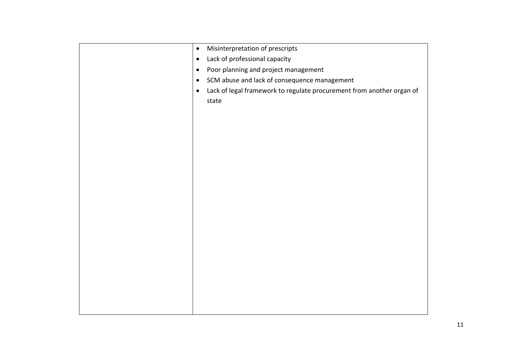| Misinterpretation of prescripts<br>$\bullet$                                                |
|---------------------------------------------------------------------------------------------|
| Lack of professional capacity<br>$\bullet$                                                  |
| Poor planning and project management<br>$\bullet$                                           |
| SCM abuse and lack of consequence management<br>$\bullet$                                   |
| Lack of legal framework to regulate procurement from another organ of<br>$\bullet$<br>state |
|                                                                                             |
|                                                                                             |
|                                                                                             |
|                                                                                             |
|                                                                                             |
|                                                                                             |
|                                                                                             |
|                                                                                             |
|                                                                                             |
|                                                                                             |
|                                                                                             |
|                                                                                             |
|                                                                                             |
|                                                                                             |
|                                                                                             |
|                                                                                             |
|                                                                                             |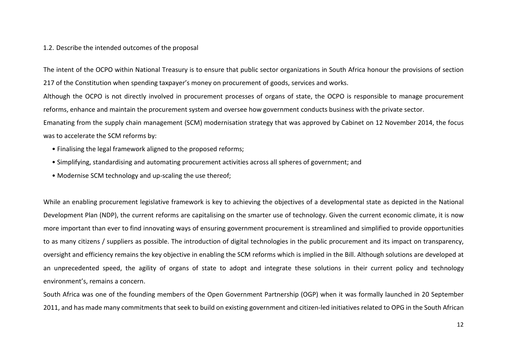#### 1.2. Describe the intended outcomes of the proposal

The intent of the OCPO within National Treasury is to ensure that public sector organizations in South Africa honour the provisions of section 217 of the Constitution when spending taxpayer's money on procurement of goods, services and works.

Although the OCPO is not directly involved in procurement processes of organs of state, the OCPO is responsible to manage procurement reforms, enhance and maintain the procurement system and oversee how government conducts business with the private sector.

Emanating from the supply chain management (SCM) modernisation strategy that was approved by Cabinet on 12 November 2014, the focus was to accelerate the SCM reforms by:

- Finalising the legal framework aligned to the proposed reforms;
- Simplifying, standardising and automating procurement activities across all spheres of government; and
- Modernise SCM technology and up-scaling the use thereof;

While an enabling procurement legislative framework is key to achieving the objectives of a developmental state as depicted in the National Development Plan (NDP), the current reforms are capitalising on the smarter use of technology. Given the current economic climate, it is now more important than ever to find innovating ways of ensuring government procurement is streamlined and simplified to provide opportunities to as many citizens / suppliers as possible. The introduction of digital technologies in the public procurement and its impact on transparency, oversight and efficiency remains the key objective in enabling the SCM reforms which is implied in the Bill. Although solutions are developed at an unprecedented speed, the agility of organs of state to adopt and integrate these solutions in their current policy and technology environment's, remains a concern.

South Africa was one of the founding members of the Open Government Partnership (OGP) when it was formally launched in 20 September 2011, and has made many commitments that seek to build on existing government and citizen-led initiatives related to OPG in the South African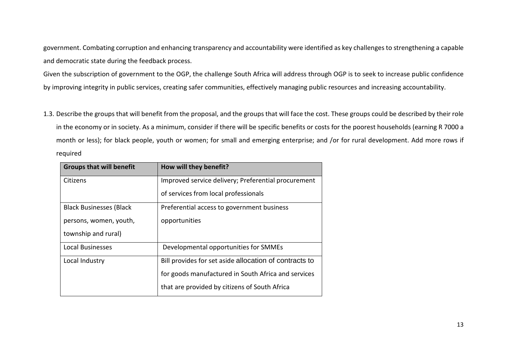government. Combating corruption and enhancing transparency and accountability were identified as key challenges to strengthening a capable and democratic state during the feedback process.

Given the subscription of government to the OGP, the challenge South Africa will address through OGP is to seek to increase public confidence by improving integrity in public services, creating safer communities, effectively managing public resources and increasing accountability.

1.3. Describe the groups that will benefit from the proposal, and the groups that will face the cost. These groups could be described by their role in the economy or in society. As a minimum, consider if there will be specific benefits or costs for the poorest households (earning R 7000 a month or less); for black people, youth or women; for small and emerging enterprise; and /or for rural development. Add more rows if required

| <b>Groups that will benefit</b> | How will they benefit?                                 |
|---------------------------------|--------------------------------------------------------|
| Citizens                        | Improved service delivery; Preferential procurement    |
|                                 | of services from local professionals                   |
| <b>Black Businesses (Black</b>  | Preferential access to government business             |
| persons, women, youth,          | opportunities                                          |
| township and rural)             |                                                        |
| <b>Local Businesses</b>         | Developmental opportunities for SMMEs                  |
| Local Industry                  | Bill provides for set aside allocation of contracts to |
|                                 | for goods manufactured in South Africa and services    |
|                                 | that are provided by citizens of South Africa          |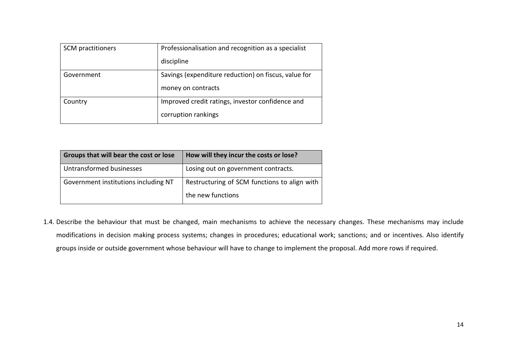| SCM practitioners | Professionalisation and recognition as a specialist  |  |
|-------------------|------------------------------------------------------|--|
|                   | discipline                                           |  |
| Government        | Savings (expenditure reduction) on fiscus, value for |  |
|                   | money on contracts                                   |  |
| Country           | Improved credit ratings, investor confidence and     |  |
|                   | corruption rankings                                  |  |

| Groups that will bear the cost or lose | How will they incur the costs or lose?       |
|----------------------------------------|----------------------------------------------|
| Untransformed businesses               | Losing out on government contracts.          |
| Government institutions including NT   | Restructuring of SCM functions to align with |
|                                        | the new functions                            |

1.4. Describe the behaviour that must be changed, main mechanisms to achieve the necessary changes. These mechanisms may include modifications in decision making process systems; changes in procedures; educational work; sanctions; and or incentives. Also identify groups inside or outside government whose behaviour will have to change to implement the proposal. Add more rows if required.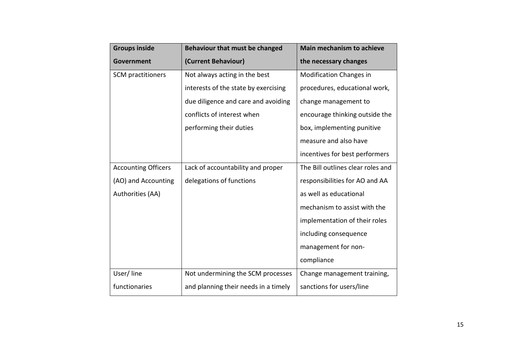| <b>Groups inside</b>       | <b>Behaviour that must be changed</b> | <b>Main mechanism to achieve</b>  |
|----------------------------|---------------------------------------|-----------------------------------|
| <b>Government</b>          | (Current Behaviour)                   | the necessary changes             |
| SCM practitioners          | Not always acting in the best         | <b>Modification Changes in</b>    |
|                            | interests of the state by exercising  | procedures, educational work,     |
|                            | due diligence and care and avoiding   | change management to              |
|                            | conflicts of interest when            | encourage thinking outside the    |
|                            | performing their duties               | box, implementing punitive        |
|                            |                                       | measure and also have             |
|                            |                                       | incentives for best performers    |
| <b>Accounting Officers</b> | Lack of accountability and proper     | The Bill outlines clear roles and |
| (AO) and Accounting        | delegations of functions              | responsibilities for AO and AA    |
| Authorities (AA)           |                                       | as well as educational            |
|                            |                                       | mechanism to assist with the      |
|                            |                                       | implementation of their roles     |
|                            |                                       | including consequence             |
|                            |                                       | management for non-               |
|                            |                                       | compliance                        |
| User/line                  | Not undermining the SCM processes     | Change management training,       |
| functionaries              | and planning their needs in a timely  | sanctions for users/line          |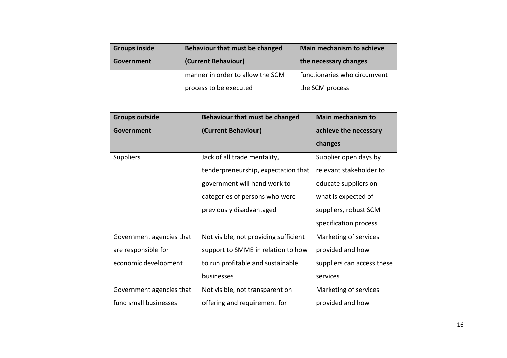| <b>Groups inside</b> | Behaviour that must be changed   | Main mechanism to achieve    |  |
|----------------------|----------------------------------|------------------------------|--|
| Government           | (Current Behaviour)              | the necessary changes        |  |
|                      | manner in order to allow the SCM | functionaries who circumvent |  |
|                      | process to be executed           | the SCM process              |  |

| <b>Groups outside</b>    | Behaviour that must be changed        | <b>Main mechanism to</b>   |  |
|--------------------------|---------------------------------------|----------------------------|--|
| Government               | (Current Behaviour)                   | achieve the necessary      |  |
|                          |                                       | changes                    |  |
| <b>Suppliers</b>         | Jack of all trade mentality,          | Supplier open days by      |  |
|                          | tenderpreneurship, expectation that   | relevant stakeholder to    |  |
|                          | government will hand work to          | educate suppliers on       |  |
|                          | categories of persons who were        | what is expected of        |  |
|                          | previously disadvantaged              | suppliers, robust SCM      |  |
|                          |                                       | specification process      |  |
| Government agencies that | Not visible, not providing sufficient | Marketing of services      |  |
| are responsible for      | support to SMME in relation to how    | provided and how           |  |
| economic development     | to run profitable and sustainable     | suppliers can access these |  |
|                          | businesses                            | services                   |  |
| Government agencies that | Not visible, not transparent on       | Marketing of services      |  |
| fund small businesses    | offering and requirement for          | provided and how           |  |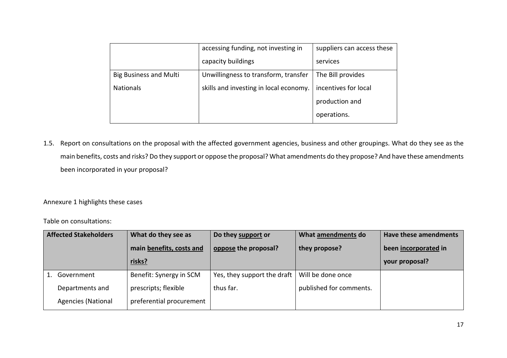|                               | accessing funding, not investing in    | suppliers can access these |  |
|-------------------------------|----------------------------------------|----------------------------|--|
|                               | capacity buildings                     | services                   |  |
| <b>Big Business and Multi</b> | Unwillingness to transform, transfer   | The Bill provides          |  |
| <b>Nationals</b>              | skills and investing in local economy. | incentives for local       |  |
|                               |                                        | production and             |  |
|                               |                                        | operations.                |  |

1.5. Report on consultations on the proposal with the affected government agencies, business and other groupings. What do they see as the main benefits, costs and risks? Do they support or oppose the proposal? What amendments do they propose? And have these amendments been incorporated in your proposal?

Annexure 1 highlights these cases

Table on consultations:

| <b>Affected Stakeholders</b> |                           | What do they see as      | Do they support or          | What amendments do      | <b>Have these amendments</b> |
|------------------------------|---------------------------|--------------------------|-----------------------------|-------------------------|------------------------------|
|                              |                           | main benefits, costs and | oppose the proposal?        | they propose?           | been incorporated in         |
|                              |                           | risks?                   |                             |                         | your proposal?               |
|                              | Government                | Benefit: Synergy in SCM  | Yes, they support the draft | Will be done once       |                              |
|                              | Departments and           | prescripts; flexible     | thus far.                   | published for comments. |                              |
|                              | <b>Agencies (National</b> | preferential procurement |                             |                         |                              |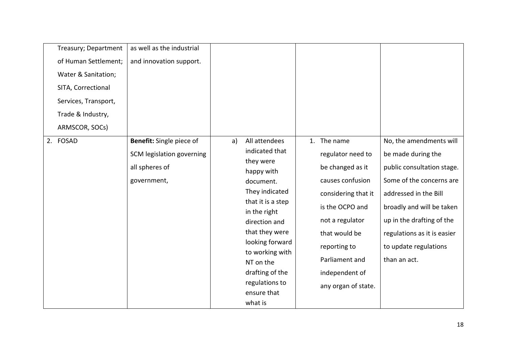| Treasury; Department | as well as the industrial |    |                                   |                     |                             |
|----------------------|---------------------------|----|-----------------------------------|---------------------|-----------------------------|
| of Human Settlement; | and innovation support.   |    |                                   |                     |                             |
| Water & Sanitation;  |                           |    |                                   |                     |                             |
| SITA, Correctional   |                           |    |                                   |                     |                             |
| Services, Transport, |                           |    |                                   |                     |                             |
| Trade & Industry,    |                           |    |                                   |                     |                             |
| ARMSCOR, SOCs)       |                           |    |                                   |                     |                             |
| 2. FOSAD             | Benefit: Single piece of  | a) | All attendees                     | 1. The name         | No, the amendments will     |
|                      | SCM legislation governing |    | indicated that                    | regulator need to   | be made during the          |
|                      | all spheres of            |    | they were<br>happy with           | be changed as it    | public consultation stage.  |
|                      | government,               |    | document.                         | causes confusion    | Some of the concerns are    |
|                      |                           |    | They indicated                    | considering that it | addressed in the Bill       |
|                      |                           |    | that it is a step<br>in the right | is the OCPO and     | broadly and will be taken   |
|                      |                           |    | direction and                     | not a regulator     | up in the drafting of the   |
|                      |                           |    | that they were                    | that would be       | regulations as it is easier |
|                      |                           |    | looking forward                   | reporting to        | to update regulations       |
|                      |                           |    | to working with<br>NT on the      | Parliament and      | than an act.                |
|                      |                           |    | drafting of the                   | independent of      |                             |
|                      |                           |    | regulations to                    | any organ of state. |                             |
|                      |                           |    | ensure that                       |                     |                             |
|                      |                           |    | what is                           |                     |                             |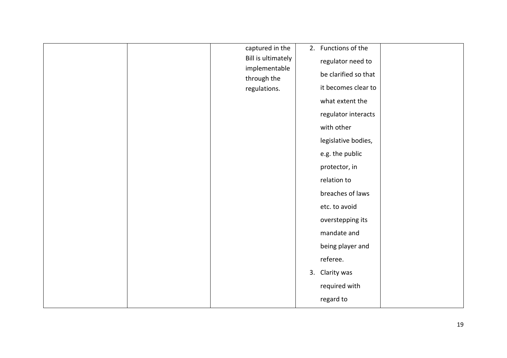|  | captured in the             | 2. Functions of the  |  |
|--|-----------------------------|----------------------|--|
|  | Bill is ultimately          | regulator need to    |  |
|  | implementable               | be clarified so that |  |
|  | through the<br>regulations. | it becomes clear to  |  |
|  |                             | what extent the      |  |
|  |                             |                      |  |
|  |                             | regulator interacts  |  |
|  |                             | with other           |  |
|  |                             | legislative bodies,  |  |
|  |                             | e.g. the public      |  |
|  |                             | protector, in        |  |
|  |                             | relation to          |  |
|  |                             | breaches of laws     |  |
|  |                             | etc. to avoid        |  |
|  |                             | overstepping its     |  |
|  |                             | mandate and          |  |
|  |                             | being player and     |  |
|  |                             | referee.             |  |
|  |                             | 3. Clarity was       |  |
|  |                             | required with        |  |
|  |                             | regard to            |  |
|  |                             |                      |  |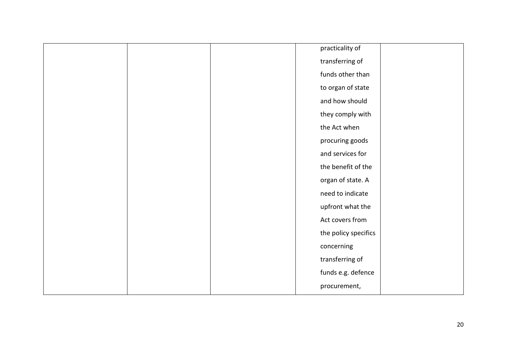|  | practicality of      |  |
|--|----------------------|--|
|  | transferring of      |  |
|  | funds other than     |  |
|  | to organ of state    |  |
|  | and how should       |  |
|  | they comply with     |  |
|  | the Act when         |  |
|  | procuring goods      |  |
|  | and services for     |  |
|  | the benefit of the   |  |
|  | organ of state. A    |  |
|  | need to indicate     |  |
|  | upfront what the     |  |
|  | Act covers from      |  |
|  | the policy specifics |  |
|  | concerning           |  |
|  | transferring of      |  |
|  | funds e.g. defence   |  |
|  | procurement,         |  |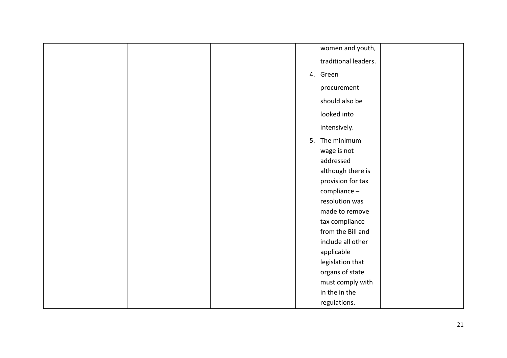|  | women and youth,     |
|--|----------------------|
|  | traditional leaders. |
|  | 4. Green             |
|  | procurement          |
|  | should also be       |
|  | looked into          |
|  | intensively.         |
|  | 5. The minimum       |
|  | wage is not          |
|  | addressed            |
|  | although there is    |
|  |                      |
|  | provision for tax    |
|  | compliance -         |
|  | resolution was       |
|  | made to remove       |
|  | tax compliance       |
|  | from the Bill and    |
|  | include all other    |
|  | applicable           |
|  | legislation that     |
|  | organs of state      |
|  | must comply with     |
|  | in the in the        |
|  | regulations.         |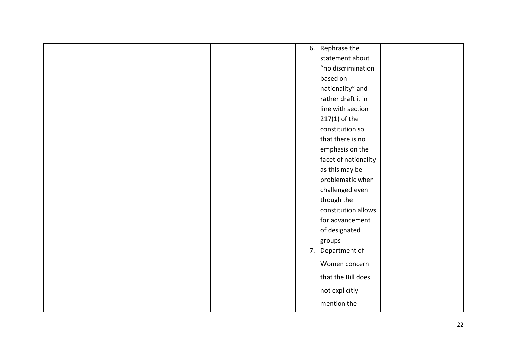| 6. Rephrase the      |
|----------------------|
| statement about      |
| "no discrimination   |
| based on             |
| nationality" and     |
| rather draft it in   |
| line with section    |
| $217(1)$ of the      |
| constitution so      |
| that there is no     |
| emphasis on the      |
| facet of nationality |
| as this may be       |
| problematic when     |
| challenged even      |
| though the           |
| constitution allows  |
| for advancement      |
| of designated        |
| groups               |
| 7. Department of     |
|                      |
| Women concern        |
| that the Bill does   |
| not explicitly       |
| mention the          |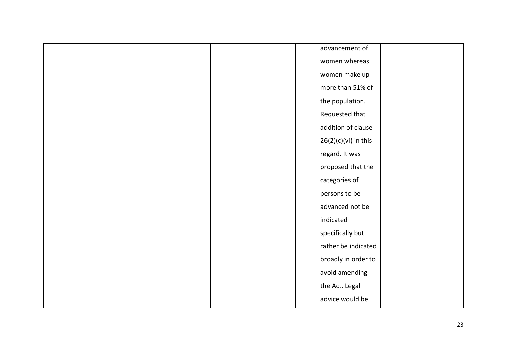|  | advancement of         |  |
|--|------------------------|--|
|  | women whereas          |  |
|  | women make up          |  |
|  | more than 51% of       |  |
|  | the population.        |  |
|  | Requested that         |  |
|  | addition of clause     |  |
|  | $26(2)(c)(vi)$ in this |  |
|  | regard. It was         |  |
|  | proposed that the      |  |
|  | categories of          |  |
|  | persons to be          |  |
|  | advanced not be        |  |
|  | indicated              |  |
|  | specifically but       |  |
|  | rather be indicated    |  |
|  | broadly in order to    |  |
|  | avoid amending         |  |
|  | the Act. Legal         |  |
|  | advice would be        |  |
|  |                        |  |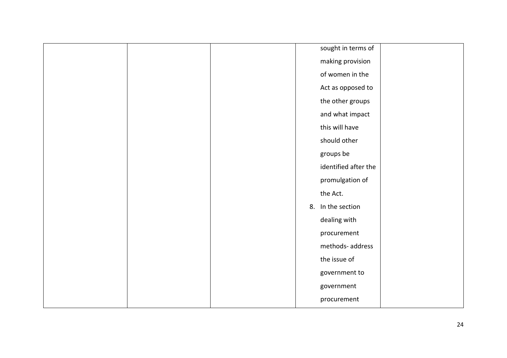|  |  | sought in terms of   |
|--|--|----------------------|
|  |  | making provision     |
|  |  | of women in the      |
|  |  | Act as opposed to    |
|  |  | the other groups     |
|  |  | and what impact      |
|  |  | this will have       |
|  |  | should other         |
|  |  | groups be            |
|  |  | identified after the |
|  |  | promulgation of      |
|  |  | the Act.             |
|  |  | 8. In the section    |
|  |  | dealing with         |
|  |  | procurement          |
|  |  | methods- address     |
|  |  | the issue of         |
|  |  | government to        |
|  |  | government           |
|  |  | procurement          |
|  |  |                      |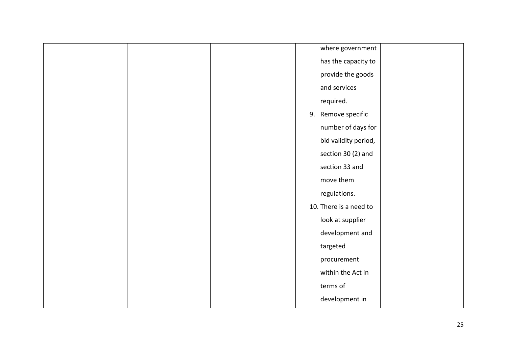|  |  | where government       |  |
|--|--|------------------------|--|
|  |  | has the capacity to    |  |
|  |  | provide the goods      |  |
|  |  | and services           |  |
|  |  | required.              |  |
|  |  | 9. Remove specific     |  |
|  |  | number of days for     |  |
|  |  | bid validity period,   |  |
|  |  | section 30 (2) and     |  |
|  |  | section 33 and         |  |
|  |  |                        |  |
|  |  | move them              |  |
|  |  | regulations.           |  |
|  |  | 10. There is a need to |  |
|  |  | look at supplier       |  |
|  |  | development and        |  |
|  |  | targeted               |  |
|  |  | procurement            |  |
|  |  | within the Act in      |  |
|  |  | terms of               |  |
|  |  | development in         |  |
|  |  |                        |  |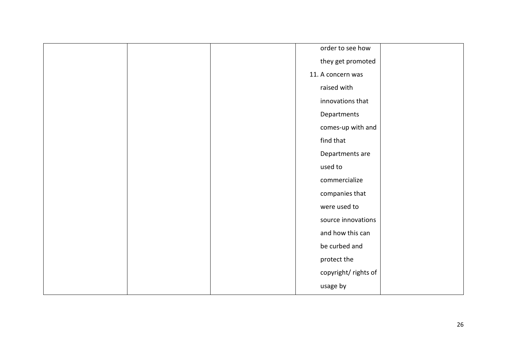|  | order to see how    |  |
|--|---------------------|--|
|  | they get promoted   |  |
|  | 11. A concern was   |  |
|  | raised with         |  |
|  | innovations that    |  |
|  | Departments         |  |
|  | comes-up with and   |  |
|  | find that           |  |
|  | Departments are     |  |
|  | used to             |  |
|  | commercialize       |  |
|  | companies that      |  |
|  | were used to        |  |
|  | source innovations  |  |
|  | and how this can    |  |
|  | be curbed and       |  |
|  | protect the         |  |
|  | copyright/rights of |  |
|  | usage by            |  |
|  |                     |  |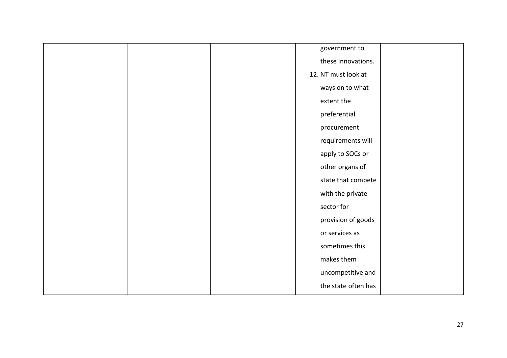|  | government to       |  |
|--|---------------------|--|
|  | these innovations.  |  |
|  | 12. NT must look at |  |
|  | ways on to what     |  |
|  | extent the          |  |
|  | preferential        |  |
|  | procurement         |  |
|  | requirements will   |  |
|  | apply to SOCs or    |  |
|  | other organs of     |  |
|  | state that compete  |  |
|  | with the private    |  |
|  | sector for          |  |
|  | provision of goods  |  |
|  | or services as      |  |
|  | sometimes this      |  |
|  | makes them          |  |
|  | uncompetitive and   |  |
|  | the state often has |  |
|  |                     |  |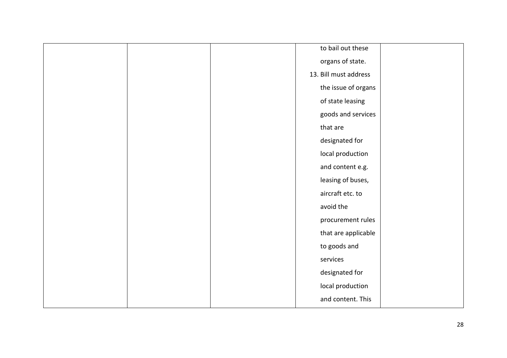|  | to bail out these     |  |
|--|-----------------------|--|
|  | organs of state.      |  |
|  | 13. Bill must address |  |
|  | the issue of organs   |  |
|  | of state leasing      |  |
|  | goods and services    |  |
|  | that are              |  |
|  | designated for        |  |
|  | local production      |  |
|  | and content e.g.      |  |
|  | leasing of buses,     |  |
|  | aircraft etc. to      |  |
|  | avoid the             |  |
|  | procurement rules     |  |
|  | that are applicable   |  |
|  | to goods and          |  |
|  | services              |  |
|  | designated for        |  |
|  | local production      |  |
|  | and content. This     |  |
|  |                       |  |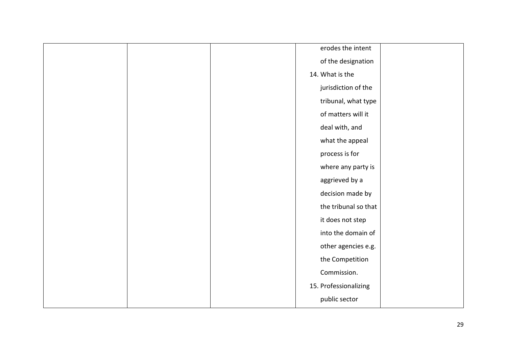|  | erodes the intent     |  |
|--|-----------------------|--|
|  | of the designation    |  |
|  | 14. What is the       |  |
|  | jurisdiction of the   |  |
|  | tribunal, what type   |  |
|  | of matters will it    |  |
|  | deal with, and        |  |
|  | what the appeal       |  |
|  | process is for        |  |
|  | where any party is    |  |
|  | aggrieved by a        |  |
|  | decision made by      |  |
|  | the tribunal so that  |  |
|  | it does not step      |  |
|  | into the domain of    |  |
|  | other agencies e.g.   |  |
|  | the Competition       |  |
|  | Commission.           |  |
|  | 15. Professionalizing |  |
|  | public sector         |  |
|  |                       |  |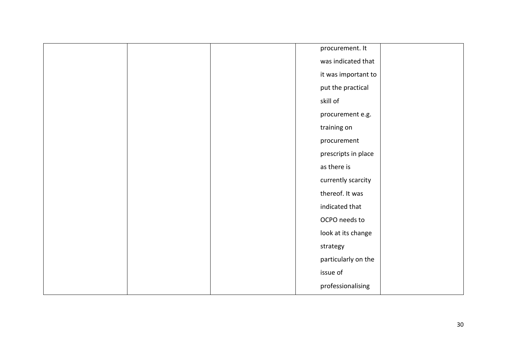|  | procurement. It     |  |
|--|---------------------|--|
|  | was indicated that  |  |
|  | it was important to |  |
|  | put the practical   |  |
|  | skill of            |  |
|  | procurement e.g.    |  |
|  | training on         |  |
|  | procurement         |  |
|  | prescripts in place |  |
|  | as there is         |  |
|  | currently scarcity  |  |
|  | thereof. It was     |  |
|  | indicated that      |  |
|  | OCPO needs to       |  |
|  | look at its change  |  |
|  | strategy            |  |
|  | particularly on the |  |
|  | issue of            |  |
|  | professionalising   |  |
|  |                     |  |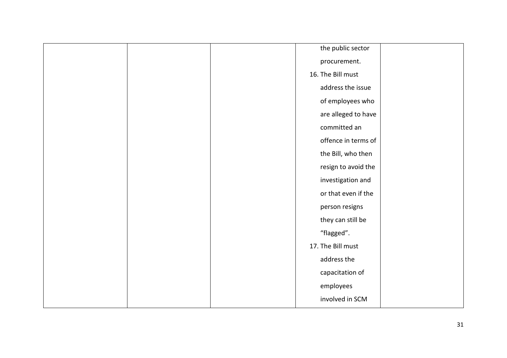|  | the public sector   |  |
|--|---------------------|--|
|  | procurement.        |  |
|  | 16. The Bill must   |  |
|  | address the issue   |  |
|  | of employees who    |  |
|  | are alleged to have |  |
|  | committed an        |  |
|  | offence in terms of |  |
|  | the Bill, who then  |  |
|  | resign to avoid the |  |
|  | investigation and   |  |
|  | or that even if the |  |
|  | person resigns      |  |
|  | they can still be   |  |
|  | "flagged".          |  |
|  | 17. The Bill must   |  |
|  | address the         |  |
|  | capacitation of     |  |
|  | employees           |  |
|  | involved in SCM     |  |
|  |                     |  |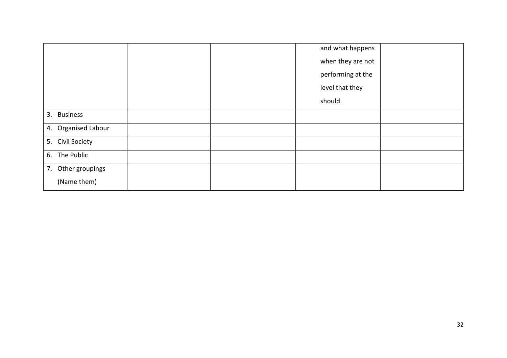|                     |  | and what happens  |  |
|---------------------|--|-------------------|--|
|                     |  | when they are not |  |
|                     |  | performing at the |  |
|                     |  | level that they   |  |
|                     |  | should.           |  |
| 3. Business         |  |                   |  |
| 4. Organised Labour |  |                   |  |
| 5. Civil Society    |  |                   |  |
| 6. The Public       |  |                   |  |
| 7. Other groupings  |  |                   |  |
| (Name them)         |  |                   |  |
|                     |  |                   |  |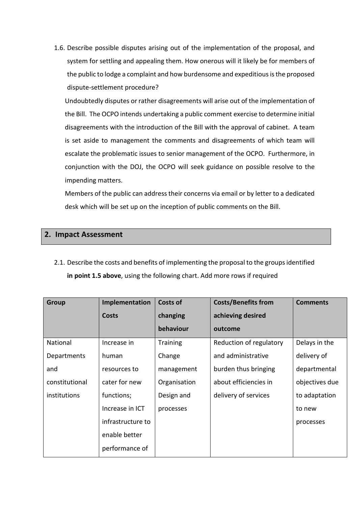1.6. Describe possible disputes arising out of the implementation of the proposal, and system for settling and appealing them. How onerous will it likely be for members of the public to lodge a complaint and how burdensome and expeditious is the proposed dispute-settlement procedure?

Undoubtedly disputes or rather disagreements will arise out of the implementation of the Bill. The OCPO intends undertaking a public comment exercise to determine initial disagreements with the introduction of the Bill with the approval of cabinet. A team is set aside to management the comments and disagreements of which team will escalate the problematic issues to senior management of the OCPO. Furthermore, in conjunction with the DOJ, the OCPO will seek guidance on possible resolve to the impending matters.

Members of the public can address their concerns via email or by letter to a dedicated desk which will be set up on the inception of public comments on the Bill.

## **2. Impact Assessment**

2.1. Describe the costs and benefits of implementing the proposal to the groups identified **in point 1.5 above**, using the following chart. Add more rows if required

| Group               | Implementation    | <b>Costs of</b> | <b>Costs/Benefits from</b> | <b>Comments</b> |
|---------------------|-------------------|-----------------|----------------------------|-----------------|
|                     | <b>Costs</b>      | changing        | achieving desired          |                 |
|                     |                   | behaviour       | outcome                    |                 |
| National            | Increase in       | <b>Training</b> | Reduction of regulatory    | Delays in the   |
| Departments         | human             | Change          | and administrative         | delivery of     |
| and                 | resources to      | management      | burden thus bringing       | departmental    |
| constitutional      | cater for new     | Organisation    | about efficiencies in      | objectives due  |
| <i>institutions</i> | functions;        | Design and      | delivery of services       | to adaptation   |
|                     | Increase in ICT   | processes       |                            | to new          |
|                     | infrastructure to |                 |                            | processes       |
|                     | enable better     |                 |                            |                 |
|                     | performance of    |                 |                            |                 |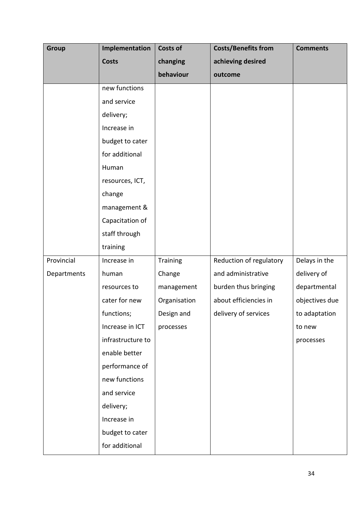| Group       | Implementation    | <b>Costs of</b> | <b>Costs/Benefits from</b> | <b>Comments</b> |
|-------------|-------------------|-----------------|----------------------------|-----------------|
|             | <b>Costs</b>      | changing        | achieving desired          |                 |
|             |                   | behaviour       | outcome                    |                 |
|             | new functions     |                 |                            |                 |
|             | and service       |                 |                            |                 |
|             | delivery;         |                 |                            |                 |
|             | Increase in       |                 |                            |                 |
|             | budget to cater   |                 |                            |                 |
|             | for additional    |                 |                            |                 |
|             | Human             |                 |                            |                 |
|             | resources, ICT,   |                 |                            |                 |
|             | change            |                 |                            |                 |
|             | management &      |                 |                            |                 |
|             | Capacitation of   |                 |                            |                 |
|             | staff through     |                 |                            |                 |
|             | training          |                 |                            |                 |
| Provincial  | Increase in       | Training        | Reduction of regulatory    | Delays in the   |
| Departments | human             | Change          | and administrative         | delivery of     |
|             | resources to      | management      | burden thus bringing       | departmental    |
|             | cater for new     | Organisation    | about efficiencies in      | objectives due  |
|             | functions;        | Design and      | delivery of services       | to adaptation   |
|             | Increase in ICT   | processes       |                            | to new          |
|             | infrastructure to |                 |                            | processes       |
|             | enable better     |                 |                            |                 |
|             | performance of    |                 |                            |                 |
|             | new functions     |                 |                            |                 |
|             | and service       |                 |                            |                 |
|             | delivery;         |                 |                            |                 |
|             | Increase in       |                 |                            |                 |
|             | budget to cater   |                 |                            |                 |
|             | for additional    |                 |                            |                 |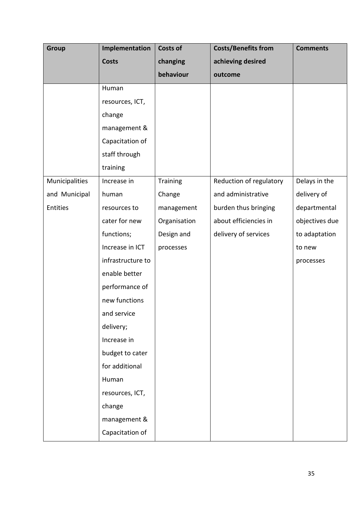| Group          | Implementation    | <b>Costs of</b> | <b>Costs/Benefits from</b> | <b>Comments</b> |
|----------------|-------------------|-----------------|----------------------------|-----------------|
|                | <b>Costs</b>      | changing        | achieving desired          |                 |
|                |                   | behaviour       | outcome                    |                 |
|                | Human             |                 |                            |                 |
|                | resources, ICT,   |                 |                            |                 |
|                | change            |                 |                            |                 |
|                | management &      |                 |                            |                 |
|                | Capacitation of   |                 |                            |                 |
|                | staff through     |                 |                            |                 |
|                | training          |                 |                            |                 |
| Municipalities | Increase in       | Training        | Reduction of regulatory    | Delays in the   |
| and Municipal  | human             | Change          | and administrative         | delivery of     |
| Entities       | resources to      | management      | burden thus bringing       | departmental    |
|                | cater for new     | Organisation    | about efficiencies in      | objectives due  |
|                | functions;        | Design and      | delivery of services       | to adaptation   |
|                | Increase in ICT   | processes       |                            | to new          |
|                | infrastructure to |                 |                            | processes       |
|                | enable better     |                 |                            |                 |
|                | performance of    |                 |                            |                 |
|                | new functions     |                 |                            |                 |
|                | and service       |                 |                            |                 |
|                | delivery;         |                 |                            |                 |
|                | Increase in       |                 |                            |                 |
|                | budget to cater   |                 |                            |                 |
|                | for additional    |                 |                            |                 |
|                | Human             |                 |                            |                 |
|                | resources, ICT,   |                 |                            |                 |
|                | change            |                 |                            |                 |
|                | management &      |                 |                            |                 |
|                | Capacitation of   |                 |                            |                 |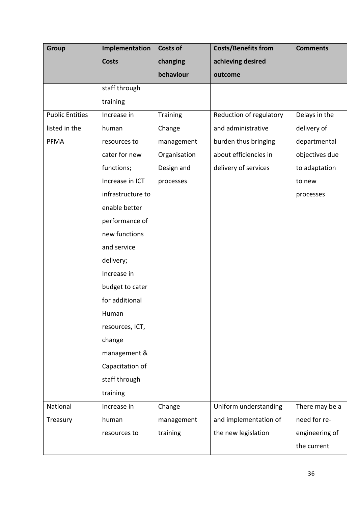| <b>Group</b>           | Implementation    | <b>Costs of</b> | <b>Costs/Benefits from</b> | <b>Comments</b> |
|------------------------|-------------------|-----------------|----------------------------|-----------------|
|                        | <b>Costs</b>      | changing        | achieving desired          |                 |
|                        |                   | behaviour       | outcome                    |                 |
|                        | staff through     |                 |                            |                 |
|                        | training          |                 |                            |                 |
| <b>Public Entities</b> | Increase in       | <b>Training</b> | Reduction of regulatory    | Delays in the   |
| listed in the          | human             | Change          | and administrative         | delivery of     |
| PFMA                   | resources to      | management      | burden thus bringing       | departmental    |
|                        | cater for new     | Organisation    | about efficiencies in      | objectives due  |
|                        | functions;        | Design and      | delivery of services       | to adaptation   |
|                        | Increase in ICT   | processes       |                            | to new          |
|                        | infrastructure to |                 |                            | processes       |
|                        | enable better     |                 |                            |                 |
|                        | performance of    |                 |                            |                 |
|                        | new functions     |                 |                            |                 |
|                        | and service       |                 |                            |                 |
|                        | delivery;         |                 |                            |                 |
|                        | Increase in       |                 |                            |                 |
|                        | budget to cater   |                 |                            |                 |
|                        | for additional    |                 |                            |                 |
|                        | Human             |                 |                            |                 |
|                        | resources, ICT,   |                 |                            |                 |
|                        | change            |                 |                            |                 |
|                        | management &      |                 |                            |                 |
|                        | Capacitation of   |                 |                            |                 |
|                        | staff through     |                 |                            |                 |
|                        | training          |                 |                            |                 |
| National               | Increase in       | Change          | Uniform understanding      | There may be a  |
| Treasury               | human             | management      | and implementation of      | need for re-    |
|                        | resources to      | training        | the new legislation        | engineering of  |
|                        |                   |                 |                            | the current     |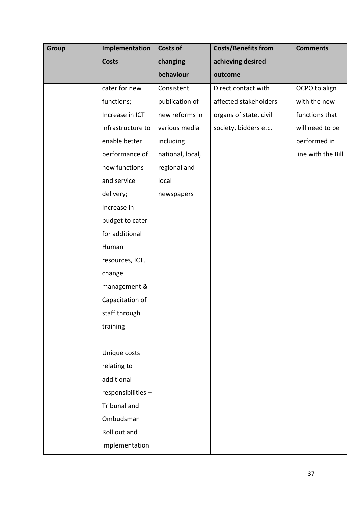| Group | Implementation    | Costs of         | <b>Costs/Benefits from</b> | <b>Comments</b>    |
|-------|-------------------|------------------|----------------------------|--------------------|
|       | <b>Costs</b>      | changing         | achieving desired          |                    |
|       |                   | behaviour        | outcome                    |                    |
|       | cater for new     | Consistent       | Direct contact with        | OCPO to align      |
|       | functions;        | publication of   | affected stakeholders-     | with the new       |
|       | Increase in ICT   | new reforms in   | organs of state, civil     | functions that     |
|       | infrastructure to | various media    | society, bidders etc.      | will need to be    |
|       | enable better     | including        |                            | performed in       |
|       | performance of    | national, local, |                            | line with the Bill |
|       | new functions     | regional and     |                            |                    |
|       | and service       | local            |                            |                    |
|       | delivery;         | newspapers       |                            |                    |
|       | Increase in       |                  |                            |                    |
|       | budget to cater   |                  |                            |                    |
|       | for additional    |                  |                            |                    |
|       | Human             |                  |                            |                    |
|       | resources, ICT,   |                  |                            |                    |
|       | change            |                  |                            |                    |
|       | management &      |                  |                            |                    |
|       | Capacitation of   |                  |                            |                    |
|       | staff through     |                  |                            |                    |
|       | training          |                  |                            |                    |
|       |                   |                  |                            |                    |
|       | Unique costs      |                  |                            |                    |
|       | relating to       |                  |                            |                    |
|       | additional        |                  |                            |                    |
|       | responsibilities- |                  |                            |                    |
|       | Tribunal and      |                  |                            |                    |
|       | Ombudsman         |                  |                            |                    |
|       | Roll out and      |                  |                            |                    |
|       | implementation    |                  |                            |                    |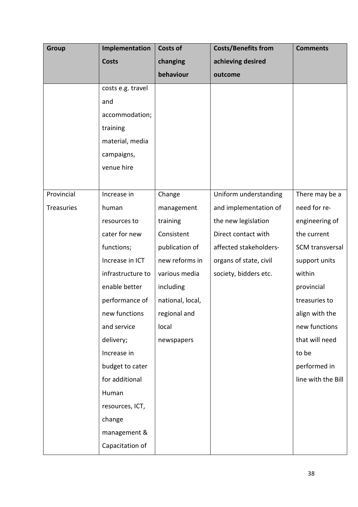| <b>Group</b> | Implementation    | <b>Costs of</b>  | <b>Costs/Benefits from</b> | <b>Comments</b>    |
|--------------|-------------------|------------------|----------------------------|--------------------|
|              | <b>Costs</b>      | changing         | achieving desired          |                    |
|              |                   | behaviour        | outcome                    |                    |
|              | costs e.g. travel |                  |                            |                    |
|              | and               |                  |                            |                    |
|              | accommodation;    |                  |                            |                    |
|              | training          |                  |                            |                    |
|              | material, media   |                  |                            |                    |
|              | campaigns,        |                  |                            |                    |
|              | venue hire        |                  |                            |                    |
|              |                   |                  |                            |                    |
| Provincial   | Increase in       | Change           | Uniform understanding      | There may be a     |
| Treasuries   | human             | management       | and implementation of      | need for re-       |
|              | resources to      | training         | the new legislation        | engineering of     |
|              | cater for new     | Consistent       | Direct contact with        | the current        |
|              | functions;        | publication of   | affected stakeholders-     | SCM transversal    |
|              | Increase in ICT   | new reforms in   | organs of state, civil     | support units      |
|              | infrastructure to | various media    | society, bidders etc.      | within             |
|              | enable better     | including        |                            | provincial         |
|              | performance of    | national, local, |                            | treasuries to      |
|              | new functions     | regional and     |                            | align with the     |
|              | and service       | local            |                            | new functions      |
|              | delivery;         | newspapers       |                            | that will need     |
|              | Increase in       |                  |                            | to be              |
|              | budget to cater   |                  |                            | performed in       |
|              | for additional    |                  |                            | line with the Bill |
|              | Human             |                  |                            |                    |
|              | resources, ICT,   |                  |                            |                    |
|              | change            |                  |                            |                    |
|              | management &      |                  |                            |                    |
|              | Capacitation of   |                  |                            |                    |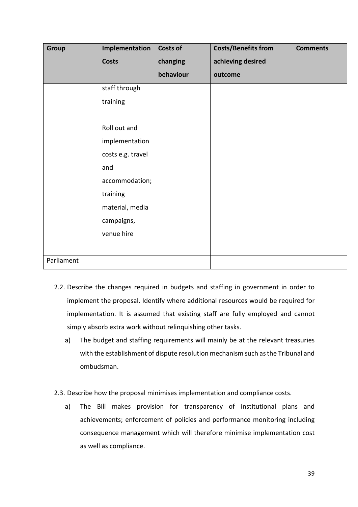| Group      | Implementation    | <b>Costs of</b> | <b>Costs/Benefits from</b> | <b>Comments</b> |
|------------|-------------------|-----------------|----------------------------|-----------------|
|            | <b>Costs</b>      | changing        | achieving desired          |                 |
|            |                   | behaviour       | outcome                    |                 |
|            | staff through     |                 |                            |                 |
|            | training          |                 |                            |                 |
|            |                   |                 |                            |                 |
|            | Roll out and      |                 |                            |                 |
|            | implementation    |                 |                            |                 |
|            | costs e.g. travel |                 |                            |                 |
|            | and               |                 |                            |                 |
|            | accommodation;    |                 |                            |                 |
|            | training          |                 |                            |                 |
|            | material, media   |                 |                            |                 |
|            | campaigns,        |                 |                            |                 |
|            | venue hire        |                 |                            |                 |
|            |                   |                 |                            |                 |
| Parliament |                   |                 |                            |                 |

- 2.2. Describe the changes required in budgets and staffing in government in order to implement the proposal. Identify where additional resources would be required for implementation. It is assumed that existing staff are fully employed and cannot simply absorb extra work without relinquishing other tasks.
	- a) The budget and staffing requirements will mainly be at the relevant treasuries with the establishment of dispute resolution mechanism such as the Tribunal and ombudsman.
- 2.3. Describe how the proposal minimises implementation and compliance costs.
	- a) The Bill makes provision for transparency of institutional plans and achievements; enforcement of policies and performance monitoring including consequence management which will therefore minimise implementation cost as well as compliance.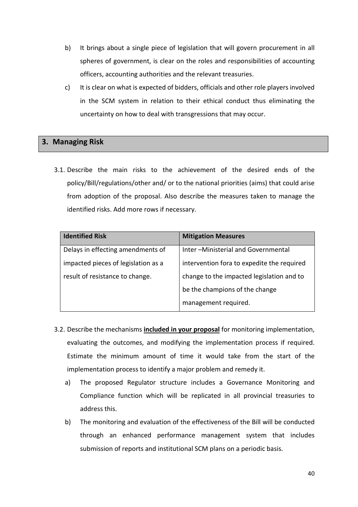- b) It brings about a single piece of legislation that will govern procurement in all spheres of government, is clear on the roles and responsibilities of accounting officers, accounting authorities and the relevant treasuries.
- c) It is clear on what is expected of bidders, officials and other role players involved in the SCM system in relation to their ethical conduct thus eliminating the uncertainty on how to deal with transgressions that may occur.

## **3. Managing Risk**

3.1. Describe the main risks to the achievement of the desired ends of the policy/Bill/regulations/other and/ or to the national priorities (aims) that could arise from adoption of the proposal. Also describe the measures taken to manage the identified risks. Add more rows if necessary.

| <b>Identified Risk</b>              | <b>Mitigation Measures</b>                 |
|-------------------------------------|--------------------------------------------|
| Delays in effecting amendments of   | Inter-Ministerial and Governmental         |
| impacted pieces of legislation as a | intervention fora to expedite the required |
| result of resistance to change.     | change to the impacted legislation and to  |
|                                     | be the champions of the change             |
|                                     | management required.                       |

- 3.2. Describe the mechanisms **included in your proposal** for monitoring implementation, evaluating the outcomes, and modifying the implementation process if required. Estimate the minimum amount of time it would take from the start of the implementation process to identify a major problem and remedy it.
	- a) The proposed Regulator structure includes a Governance Monitoring and Compliance function which will be replicated in all provincial treasuries to address this.
	- b) The monitoring and evaluation of the effectiveness of the Bill will be conducted through an enhanced performance management system that includes submission of reports and institutional SCM plans on a periodic basis.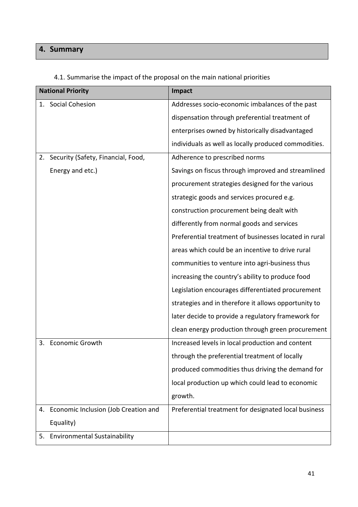# **4. Summary**

|    | <b>National Priority</b>              | Impact                                                |
|----|---------------------------------------|-------------------------------------------------------|
|    | 1. Social Cohesion                    | Addresses socio-economic imbalances of the past       |
|    |                                       | dispensation through preferential treatment of        |
|    |                                       | enterprises owned by historically disadvantaged       |
|    |                                       | individuals as well as locally produced commodities.  |
|    | 2. Security (Safety, Financial, Food, | Adherence to prescribed norms                         |
|    | Energy and etc.)                      | Savings on fiscus through improved and streamlined    |
|    |                                       | procurement strategies designed for the various       |
|    |                                       | strategic goods and services procured e.g.            |
|    |                                       | construction procurement being dealt with             |
|    |                                       | differently from normal goods and services            |
|    |                                       | Preferential treatment of businesses located in rural |
|    |                                       | areas which could be an incentive to drive rural      |
|    |                                       | communities to venture into agri-business thus        |
|    |                                       | increasing the country's ability to produce food      |
|    |                                       | Legislation encourages differentiated procurement     |
|    |                                       | strategies and in therefore it allows opportunity to  |
|    |                                       | later decide to provide a regulatory framework for    |
|    |                                       | clean energy production through green procurement     |
| 3. | <b>Economic Growth</b>                | Increased levels in local production and content      |
|    |                                       | through the preferential treatment of locally         |
|    |                                       | produced commodities thus driving the demand for      |
|    |                                       | local production up which could lead to economic      |
|    |                                       | growth.                                               |
| 4. | Economic Inclusion (Job Creation and  | Preferential treatment for designated local business  |
|    | Equality)                             |                                                       |
| 5. | <b>Environmental Sustainability</b>   |                                                       |

# 4.1. Summarise the impact of the proposal on the main national priorities